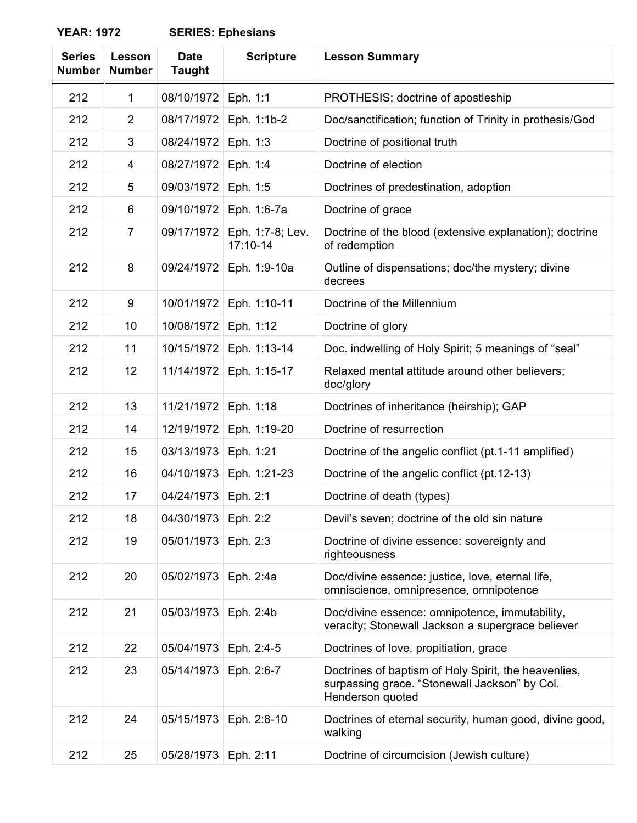## **YEAR: 1972**

| <b>SERIES: Ephesians</b> |  |  |  |  |  |
|--------------------------|--|--|--|--|--|
|--------------------------|--|--|--|--|--|

| <b>Series</b><br><b>Number</b> | Lesson<br><b>Number</b> | <b>Date</b><br><b>Taught</b> | <b>Scripture</b>             | <b>Lesson Summary</b>                                                                                                     |
|--------------------------------|-------------------------|------------------------------|------------------------------|---------------------------------------------------------------------------------------------------------------------------|
| 212                            | 1                       | 08/10/1972                   | Eph. 1:1                     | PROTHESIS; doctrine of apostleship                                                                                        |
| 212                            | $\overline{2}$          | 08/17/1972                   | Eph. 1:1b-2                  | Doc/sanctification; function of Trinity in prothesis/God                                                                  |
| 212                            | 3                       | 08/24/1972                   | Eph. 1:3                     | Doctrine of positional truth                                                                                              |
| 212                            | 4                       | 08/27/1972                   | Eph. 1:4                     | Doctrine of election                                                                                                      |
| 212                            | 5                       | 09/03/1972                   | Eph. 1:5                     | Doctrines of predestination, adoption                                                                                     |
| 212                            | 6                       | 09/10/1972                   | Eph. 1:6-7a                  | Doctrine of grace                                                                                                         |
| 212                            | $\overline{7}$          | 09/17/1972                   | Eph. 1:7-8; Lev.<br>17:10-14 | Doctrine of the blood (extensive explanation); doctrine<br>of redemption                                                  |
| 212                            | 8                       | 09/24/1972                   | Eph. 1:9-10a                 | Outline of dispensations; doc/the mystery; divine<br>decrees                                                              |
| 212                            | 9                       | 10/01/1972                   | Eph. 1:10-11                 | Doctrine of the Millennium                                                                                                |
| 212                            | 10                      | 10/08/1972                   | Eph. 1:12                    | Doctrine of glory                                                                                                         |
| 212                            | 11                      | 10/15/1972                   | Eph. 1:13-14                 | Doc. indwelling of Holy Spirit; 5 meanings of "seal"                                                                      |
| 212                            | 12                      | 11/14/1972                   | Eph. 1:15-17                 | Relaxed mental attitude around other believers;<br>doc/glory                                                              |
| 212                            | 13                      | 11/21/1972                   | Eph. 1:18                    | Doctrines of inheritance (heirship); GAP                                                                                  |
| 212                            | 14                      | 12/19/1972                   | Eph. 1:19-20                 | Doctrine of resurrection                                                                                                  |
| 212                            | 15                      | 03/13/1973                   | Eph. 1:21                    | Doctrine of the angelic conflict (pt.1-11 amplified)                                                                      |
| 212                            | 16                      | 04/10/1973                   | Eph. 1:21-23                 | Doctrine of the angelic conflict (pt. 12-13)                                                                              |
| 212                            | 17                      | 04/24/1973                   | Eph. 2:1                     | Doctrine of death (types)                                                                                                 |
| 212                            | 18                      | 04/30/1973                   | Eph. 2:2                     | Devil's seven; doctrine of the old sin nature                                                                             |
| 212                            | 19                      | 05/01/1973                   | Eph. 2:3                     | Doctrine of divine essence: sovereignty and<br>righteousness                                                              |
| 212                            | 20                      | 05/02/1973                   | Eph. 2:4a                    | Doc/divine essence: justice, love, eternal life,<br>omniscience, omnipresence, omnipotence                                |
| 212                            | 21                      | 05/03/1973                   | Eph. 2:4b                    | Doc/divine essence: omnipotence, immutability,<br>veracity; Stonewall Jackson a supergrace believer                       |
| 212                            | 22                      | 05/04/1973                   | Eph. 2:4-5                   | Doctrines of love, propitiation, grace                                                                                    |
| 212                            | 23                      | 05/14/1973                   | Eph. 2:6-7                   | Doctrines of baptism of Holy Spirit, the heavenlies,<br>surpassing grace. "Stonewall Jackson" by Col.<br>Henderson quoted |
| 212                            | 24                      | 05/15/1973                   | Eph. 2:8-10                  | Doctrines of eternal security, human good, divine good,<br>walking                                                        |
| 212                            | 25                      | 05/28/1973                   | Eph. 2:11                    | Doctrine of circumcision (Jewish culture)                                                                                 |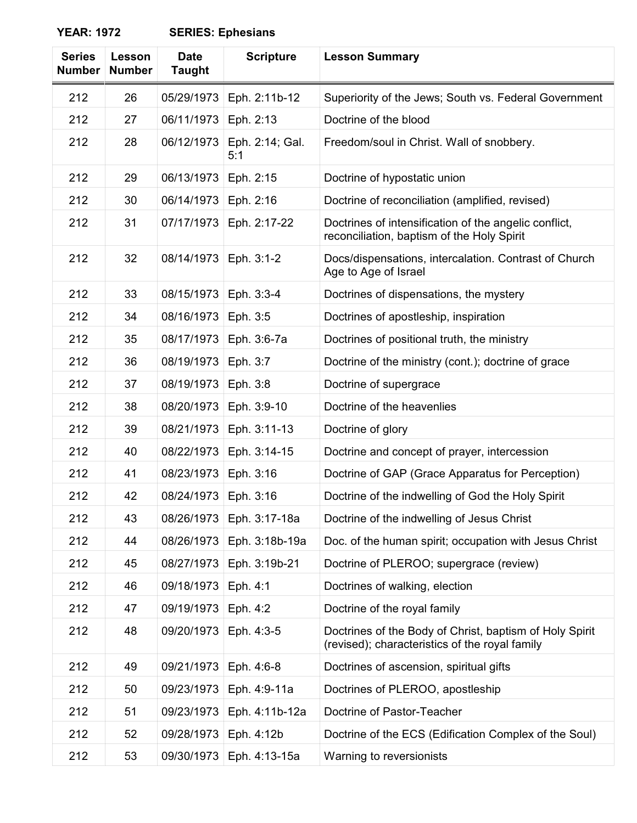## **YEAR: 1972**

| <b>Series</b><br><b>Number</b> | <b>Lesson</b><br><b>Number</b> | <b>Date</b><br><b>Taught</b> | <b>Scripture</b>       | <b>Lesson Summary</b>                                                                                     |
|--------------------------------|--------------------------------|------------------------------|------------------------|-----------------------------------------------------------------------------------------------------------|
| 212                            | 26                             | 05/29/1973                   | Eph. 2:11b-12          | Superiority of the Jews; South vs. Federal Government                                                     |
| 212                            | 27                             | 06/11/1973                   | Eph. 2:13              | Doctrine of the blood                                                                                     |
| 212                            | 28                             | 06/12/1973                   | Eph. 2:14; Gal.<br>5:1 | Freedom/soul in Christ. Wall of snobbery.                                                                 |
| 212                            | 29                             | 06/13/1973                   | Eph. 2:15              | Doctrine of hypostatic union                                                                              |
| 212                            | 30                             | 06/14/1973                   | Eph. 2:16              | Doctrine of reconciliation (amplified, revised)                                                           |
| 212                            | 31                             | 07/17/1973                   | Eph. 2:17-22           | Doctrines of intensification of the angelic conflict,<br>reconciliation, baptism of the Holy Spirit       |
| 212                            | 32                             | 08/14/1973                   | Eph. 3:1-2             | Docs/dispensations, intercalation. Contrast of Church<br>Age to Age of Israel                             |
| 212                            | 33                             | 08/15/1973                   | Eph. 3:3-4             | Doctrines of dispensations, the mystery                                                                   |
| 212                            | 34                             | 08/16/1973                   | Eph. 3:5               | Doctrines of apostleship, inspiration                                                                     |
| 212                            | 35                             | 08/17/1973                   | Eph. 3:6-7a            | Doctrines of positional truth, the ministry                                                               |
| 212                            | 36                             | 08/19/1973                   | Eph. 3:7               | Doctrine of the ministry (cont.); doctrine of grace                                                       |
| 212                            | 37                             | 08/19/1973                   | Eph. 3:8               | Doctrine of supergrace                                                                                    |
| 212                            | 38                             | 08/20/1973                   | Eph. 3:9-10            | Doctrine of the heavenlies                                                                                |
| 212                            | 39                             | 08/21/1973                   | Eph. 3:11-13           | Doctrine of glory                                                                                         |
| 212                            | 40                             | 08/22/1973                   | Eph. 3:14-15           | Doctrine and concept of prayer, intercession                                                              |
| 212                            | 41                             | 08/23/1973                   | Eph. 3:16              | Doctrine of GAP (Grace Apparatus for Perception)                                                          |
| 212                            | 42                             | 08/24/1973                   | Eph. 3:16              | Doctrine of the indwelling of God the Holy Spirit                                                         |
| 212                            | 43                             | 08/26/1973                   | Eph. 3:17-18a          | Doctrine of the indwelling of Jesus Christ                                                                |
| 212                            | 44                             | 08/26/1973                   | Eph. 3:18b-19a         | Doc. of the human spirit; occupation with Jesus Christ                                                    |
| 212                            | 45                             | 08/27/1973                   | Eph. 3:19b-21          | Doctrine of PLEROO; supergrace (review)                                                                   |
| 212                            | 46                             | 09/18/1973                   | Eph. 4:1               | Doctrines of walking, election                                                                            |
| 212                            | 47                             | 09/19/1973                   | Eph. 4:2               | Doctrine of the royal family                                                                              |
| 212                            | 48                             | 09/20/1973                   | Eph. 4:3-5             | Doctrines of the Body of Christ, baptism of Holy Spirit<br>(revised); characteristics of the royal family |
| 212                            | 49                             | 09/21/1973                   | Eph. 4:6-8             | Doctrines of ascension, spiritual gifts                                                                   |
| 212                            | 50                             | 09/23/1973                   | Eph. 4:9-11a           | Doctrines of PLEROO, apostleship                                                                          |
| 212                            | 51                             | 09/23/1973                   | Eph. 4:11b-12a         | Doctrine of Pastor-Teacher                                                                                |
| 212                            | 52                             | 09/28/1973                   | Eph. 4:12b             | Doctrine of the ECS (Edification Complex of the Soul)                                                     |
| 212                            | 53                             | 09/30/1973                   | Eph. 4:13-15a          | Warning to reversionists                                                                                  |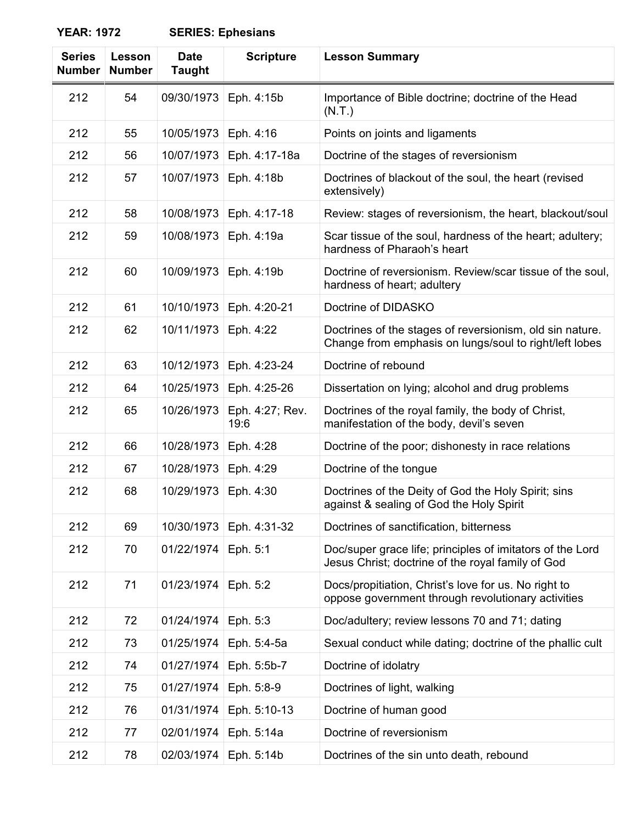## **YEAR: 1972 SERIES: Ephesians**

| <b>Series</b><br><b>Number</b> | Lesson<br><b>Number</b> | <b>Date</b><br><b>Taught</b> | <b>Scripture</b>        | <b>Lesson Summary</b>                                                                                              |
|--------------------------------|-------------------------|------------------------------|-------------------------|--------------------------------------------------------------------------------------------------------------------|
| 212                            | 54                      | 09/30/1973                   | Eph. 4:15b              | Importance of Bible doctrine; doctrine of the Head<br>(N.T.)                                                       |
| 212                            | 55                      | 10/05/1973                   | Eph. 4:16               | Points on joints and ligaments                                                                                     |
| 212                            | 56                      | 10/07/1973                   | Eph. 4:17-18a           | Doctrine of the stages of reversionism                                                                             |
| 212                            | 57                      | 10/07/1973                   | Eph. 4:18b              | Doctrines of blackout of the soul, the heart (revised<br>extensively)                                              |
| 212                            | 58                      | 10/08/1973                   | Eph. 4:17-18            | Review: stages of reversionism, the heart, blackout/soul                                                           |
| 212                            | 59                      | 10/08/1973                   | Eph. 4:19a              | Scar tissue of the soul, hardness of the heart; adultery;<br>hardness of Pharaoh's heart                           |
| 212                            | 60                      | 10/09/1973                   | Eph. 4:19b              | Doctrine of reversionism. Review/scar tissue of the soul,<br>hardness of heart; adultery                           |
| 212                            | 61                      | 10/10/1973                   | Eph. 4:20-21            | Doctrine of DIDASKO                                                                                                |
| 212                            | 62                      | 10/11/1973                   | Eph. 4:22               | Doctrines of the stages of reversionism, old sin nature.<br>Change from emphasis on lungs/soul to right/left lobes |
| 212                            | 63                      | 10/12/1973                   | Eph. 4:23-24            | Doctrine of rebound                                                                                                |
| 212                            | 64                      | 10/25/1973                   | Eph. 4:25-26            | Dissertation on lying; alcohol and drug problems                                                                   |
| 212                            | 65                      | 10/26/1973                   | Eph. 4:27; Rev.<br>19:6 | Doctrines of the royal family, the body of Christ,<br>manifestation of the body, devil's seven                     |
| 212                            | 66                      | 10/28/1973                   | Eph. 4:28               | Doctrine of the poor; dishonesty in race relations                                                                 |
| 212                            | 67                      | 10/28/1973                   | Eph. 4:29               | Doctrine of the tongue                                                                                             |
| 212                            | 68                      | 10/29/1973                   | Eph. 4:30               | Doctrines of the Deity of God the Holy Spirit; sins<br>against & sealing of God the Holy Spirit                    |
| 212                            | 69                      | 10/30/1973                   | Eph. 4:31-32            | Doctrines of sanctification, bitterness                                                                            |
| 212                            | 70                      | 01/22/1974                   | Eph. 5:1                | Doc/super grace life; principles of imitators of the Lord<br>Jesus Christ; doctrine of the royal family of God     |
| 212                            | 71                      | 01/23/1974                   | Eph. 5:2                | Docs/propitiation, Christ's love for us. No right to<br>oppose government through revolutionary activities         |
| 212                            | 72                      | 01/24/1974                   | Eph. 5:3                | Doc/adultery; review lessons 70 and 71; dating                                                                     |
| 212                            | 73                      | 01/25/1974                   | Eph. 5:4-5a             | Sexual conduct while dating; doctrine of the phallic cult                                                          |
| 212                            | 74                      | 01/27/1974                   | Eph. 5:5b-7             | Doctrine of idolatry                                                                                               |
| 212                            | 75                      | 01/27/1974                   | Eph. 5:8-9              | Doctrines of light, walking                                                                                        |
| 212                            | 76                      | 01/31/1974                   | Eph. 5:10-13            | Doctrine of human good                                                                                             |
| 212                            | 77                      | 02/01/1974                   | Eph. 5:14a              | Doctrine of reversionism                                                                                           |
| 212                            | 78                      | 02/03/1974                   | Eph. 5:14b              | Doctrines of the sin unto death, rebound                                                                           |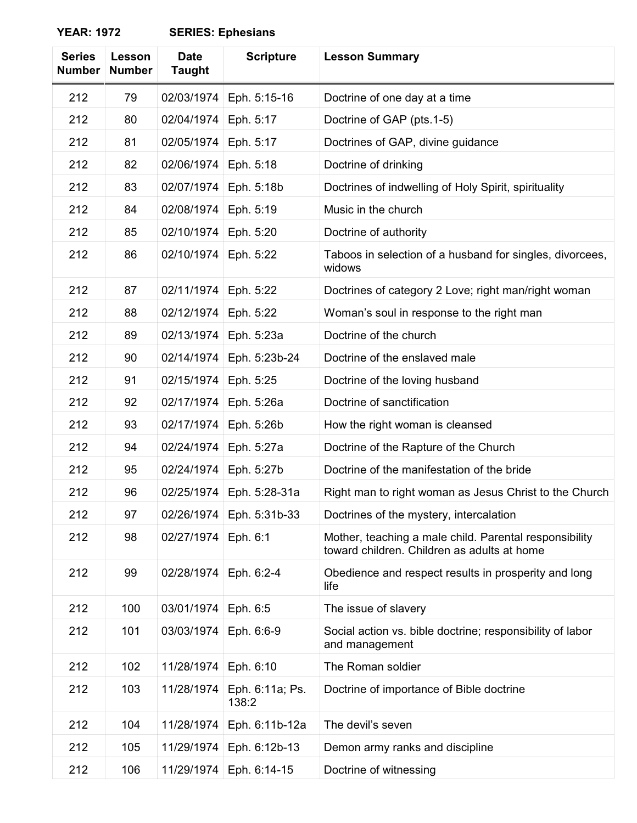| <b>YEAR: 1972</b> | <b>SERIES: Ephesians</b> |
|-------------------|--------------------------|
|-------------------|--------------------------|

| <b>Series</b><br><b>Number</b> | Lesson<br><b>Number</b> | <b>Date</b><br><b>Taught</b> | <b>Scripture</b>         | <b>Lesson Summary</b>                                                                                 |
|--------------------------------|-------------------------|------------------------------|--------------------------|-------------------------------------------------------------------------------------------------------|
| 212                            | 79                      | 02/03/1974                   | Eph. 5:15-16             | Doctrine of one day at a time                                                                         |
| 212                            | 80                      | 02/04/1974                   | Eph. 5:17                | Doctrine of GAP (pts.1-5)                                                                             |
| 212                            | 81                      | 02/05/1974                   | Eph. 5:17                | Doctrines of GAP, divine guidance                                                                     |
| 212                            | 82                      | 02/06/1974                   | Eph. 5:18                | Doctrine of drinking                                                                                  |
| 212                            | 83                      | 02/07/1974                   | Eph. 5:18b               | Doctrines of indwelling of Holy Spirit, spirituality                                                  |
| 212                            | 84                      | 02/08/1974                   | Eph. 5:19                | Music in the church                                                                                   |
| 212                            | 85                      | 02/10/1974                   | Eph. 5:20                | Doctrine of authority                                                                                 |
| 212                            | 86                      | 02/10/1974                   | Eph. 5:22                | Taboos in selection of a husband for singles, divorcees,<br>widows                                    |
| 212                            | 87                      | 02/11/1974                   | Eph. 5:22                | Doctrines of category 2 Love; right man/right woman                                                   |
| 212                            | 88                      | 02/12/1974                   | Eph. 5:22                | Woman's soul in response to the right man                                                             |
| 212                            | 89                      | 02/13/1974                   | Eph. 5:23a               | Doctrine of the church                                                                                |
| 212                            | 90                      | 02/14/1974                   | Eph. 5:23b-24            | Doctrine of the enslaved male                                                                         |
| 212                            | 91                      | 02/15/1974                   | Eph. 5:25                | Doctrine of the loving husband                                                                        |
| 212                            | 92                      | 02/17/1974                   | Eph. 5:26a               | Doctrine of sanctification                                                                            |
| 212                            | 93                      | 02/17/1974                   | Eph. 5:26b               | How the right woman is cleansed                                                                       |
| 212                            | 94                      | 02/24/1974                   | Eph. 5:27a               | Doctrine of the Rapture of the Church                                                                 |
| 212                            | 95                      | 02/24/1974                   | Eph. 5:27b               | Doctrine of the manifestation of the bride                                                            |
| 212                            | 96                      | 02/25/1974                   | Eph. 5:28-31a            | Right man to right woman as Jesus Christ to the Church                                                |
| 212                            | 97                      | 02/26/1974                   | Eph. 5:31b-33            | Doctrines of the mystery, intercalation                                                               |
| 212                            | 98                      | 02/27/1974                   | Eph. 6:1                 | Mother, teaching a male child. Parental responsibility<br>toward children. Children as adults at home |
| 212                            | 99                      | 02/28/1974                   | Eph. 6:2-4               | Obedience and respect results in prosperity and long<br>life                                          |
| 212                            | 100                     | 03/01/1974                   | Eph. 6:5                 | The issue of slavery                                                                                  |
| 212                            | 101                     | 03/03/1974                   | Eph. 6:6-9               | Social action vs. bible doctrine; responsibility of labor<br>and management                           |
| 212                            | 102                     | 11/28/1974                   | Eph. 6:10                | The Roman soldier                                                                                     |
| 212                            | 103                     | 11/28/1974                   | Eph. 6:11a; Ps.<br>138:2 | Doctrine of importance of Bible doctrine                                                              |
| 212                            | 104                     | 11/28/1974                   | Eph. 6:11b-12a           | The devil's seven                                                                                     |
| 212                            | 105                     | 11/29/1974                   | Eph. 6:12b-13            | Demon army ranks and discipline                                                                       |
| 212                            | 106                     | 11/29/1974                   | Eph. 6:14-15             | Doctrine of witnessing                                                                                |